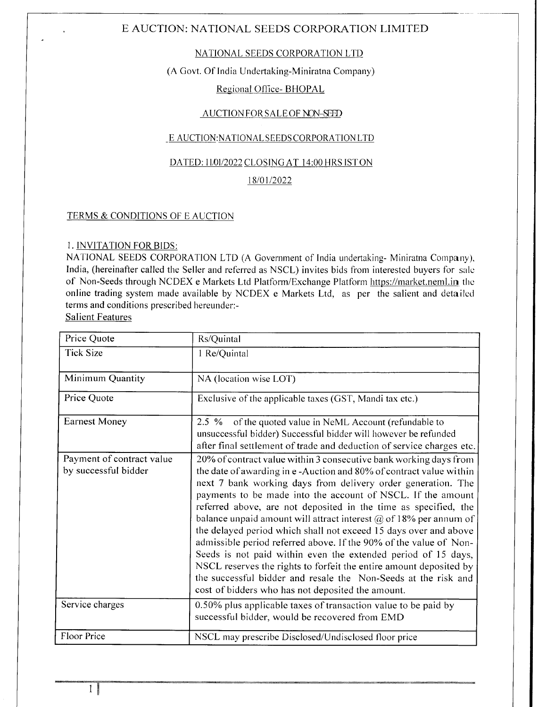## NATIONAL SEEDS CORPORATION LTD

# (A Govt. Of India Undertaking-Miniratna Company)

# Regional Office- BHOPAL

### AUCTION FOR SALE OF NON-SEED

## E AUCTION:NATIONAL SEEDS CORPORATION LTD

#### DATED: 11/01/2022 CLOSING AT 14:00 HRS ISTON

## 18/01/2022

## TERMS & CONDITIONS OF E AUCTION

#### I. INVITATION FORBIDS:

NATIONAL SEEDS CORPORATION LTD (A Government of India undertaking- Miniratna Company), India, (hereinafter called the Seller and referred as NSCL) invites bids from interested buyers for salc of Non-Seeds through NCDEX e Markets Ltd Platform/Exchange Platform https://market.neml.in the online trading system made available by NCDEX e Markets Ltd, as per the salient and detailed terms and conditions prescribed hereunder:-

Salient Features

| Price Quote                                       | Rs/Quintal                                                                                                                                                                                                                                                                                                                                                                                                                                                                                                                                                                                                                                                                                                                                                                                                                   |
|---------------------------------------------------|------------------------------------------------------------------------------------------------------------------------------------------------------------------------------------------------------------------------------------------------------------------------------------------------------------------------------------------------------------------------------------------------------------------------------------------------------------------------------------------------------------------------------------------------------------------------------------------------------------------------------------------------------------------------------------------------------------------------------------------------------------------------------------------------------------------------------|
| <b>Tick Size</b>                                  | 1 Re/Quintal                                                                                                                                                                                                                                                                                                                                                                                                                                                                                                                                                                                                                                                                                                                                                                                                                 |
| Minimum Quantity                                  | NA (location wise LOT)                                                                                                                                                                                                                                                                                                                                                                                                                                                                                                                                                                                                                                                                                                                                                                                                       |
| Price Quote                                       | Exclusive of the applicable taxes (GST, Mandi tax etc.)                                                                                                                                                                                                                                                                                                                                                                                                                                                                                                                                                                                                                                                                                                                                                                      |
| <b>Earnest Money</b>                              | 2.5 % of the quoted value in NeML Account (refundable to<br>unsuccessful bidder) Successful bidder will however be refunded<br>after final settlement of trade and deduction of service charges etc.                                                                                                                                                                                                                                                                                                                                                                                                                                                                                                                                                                                                                         |
| Payment of contract value<br>by successful bidder | 20% of contract value within 3 consecutive bank working days from<br>the date of awarding in e-Auction and 80% of contract value within<br>next 7 bank working days from delivery order generation. The<br>payments to be made into the account of NSCL. If the amount<br>referred above, are not deposited in the time as specified, the<br>balance unpaid amount will attract interest $\omega$ of 18% per annum of<br>the delayed period which shall not exceed 15 days over and above<br>admissible period referred above. If the 90% of the value of Non-<br>Seeds is not paid within even the extended period of 15 days,<br>NSCL reserves the rights to forfeit the entire amount deposited by<br>the successful bidder and resale the Non-Seeds at the risk and<br>cost of bidders who has not deposited the amount. |
| Service charges                                   | 0.50% plus applicable taxes of transaction value to be paid by<br>successful bidder, would be recovered from EMD                                                                                                                                                                                                                                                                                                                                                                                                                                                                                                                                                                                                                                                                                                             |
| Floor Price                                       | NSCL may prescribe Disclosed/Undisclosed floor price                                                                                                                                                                                                                                                                                                                                                                                                                                                                                                                                                                                                                                                                                                                                                                         |

1\$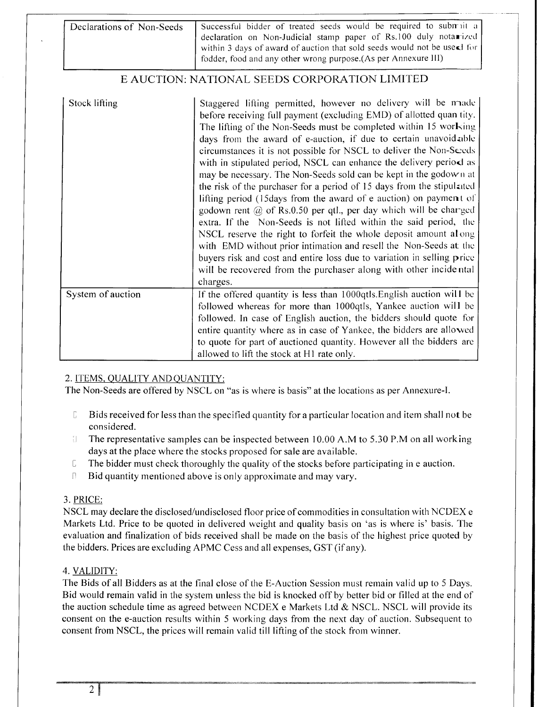| Declarations of Non-Seeds | Successful bidder of treated seeds would be required to subtrait a                  |  |  |
|---------------------------|-------------------------------------------------------------------------------------|--|--|
|                           | declaration on Non-Judicial stamp paper of Rs.100 duly notarized                    |  |  |
|                           | within 3 days of award of auction that sold seeds would not be uses for $\parallel$ |  |  |
|                           | fodder, food and any other wrong purpose. (As per Annexure III)                     |  |  |
|                           |                                                                                     |  |  |

| <b>Stock lifting</b> | Staggered lifting permitted, however no delivery will be made<br>before receiving full payment (excluding EMD) of allotted quan tity.<br>The lifting of the Non-Seeds must be completed within 15 working<br>days from the award of e-auction, if due to certain unavoidable<br>circumstances it is not possible for NSCL to deliver the Non-Seeds<br>with in stipulated period, NSCL can enhance the delivery period as<br>may be necessary. The Non-Seeds sold can be kept in the godown at<br>the risk of the purchaser for a period of 15 days from the stipulated<br>lifting period (15days from the award of e auction) on payment of<br>godown rent $\omega$ of Rs.0.50 per qtl., per day which will be charged<br>extra. If the Non-Seeds is not lifted within the said period, the<br>NSCL reserve the right to forfeit the whole deposit amount along<br>with EMD without prior intimation and resell the Non-Seeds at the<br>buyers risk and cost and entire loss due to variation in selling price<br>will be recovered from the purchaser along with other incidental<br>charges. |
|----------------------|------------------------------------------------------------------------------------------------------------------------------------------------------------------------------------------------------------------------------------------------------------------------------------------------------------------------------------------------------------------------------------------------------------------------------------------------------------------------------------------------------------------------------------------------------------------------------------------------------------------------------------------------------------------------------------------------------------------------------------------------------------------------------------------------------------------------------------------------------------------------------------------------------------------------------------------------------------------------------------------------------------------------------------------------------------------------------------------------|
| System of auction    | If the offered quantity is less than 1000qtls. English auction will be<br>followed whereas for more than 1000qtls, Yankee auction will be<br>followed. In case of English auction, the bidders should quote for<br>entire quantity where as in case of Yankee, the bidders are allowed<br>to quote for part of auctioned quantity. However all the bidders are<br>allowed to lift the stock at H1 rate only.                                                                                                                                                                                                                                                                                                                                                                                                                                                                                                                                                                                                                                                                                   |

# 2. ITEMS. OUALITY ANDQUANTITY:

The Non-Seeds are offered by NSCL on "as is where is basis" at the locations as per Annexure-I.

- $\Gamma$ Bids received for less than the specified quantity for a particular location and itcm shall not be considered.
- l The representative samples can be inspected between 10.00 A.M to 5.30 P.M on all working days at the place where the stocks proposed for sale are available.
- $I$  The bidder must check thoroughly the quality of the stocks before participating in e auction.
- $\Box$  Bid quantity mentioned above is only approximate and may vary.

# 3. PRICE:

NSCL may declare the disclosed/undisclosed floor price of commodities in consultation with NCDEX <sup>e</sup> Markets Ltd. Price to be quoted in delivered weight and quality basis on 'as is where is' basis. The evaluation and finalization of bids received shall be made on the basis of the highest price quoted by the bidders. Prices are excluding APMC Cess and all expenses, GST (if any).

# 4. VALIDITY:

The Bids of all Bidders as at the final close of the E-Auction Session must rernain valid up to 5 Days. Bid would remain valid in the system unless the bid is knocked off by better bid or filled at the end of the auction schedule time as agreed between NCDEX e Markets Ltd  $&$  NSCL. NSCL will provide its consent on the e-auction results within 5 working days from the next day of auction. Subsequent to consent from NSCL, the prices will remain valid till lifting of the stock from winner.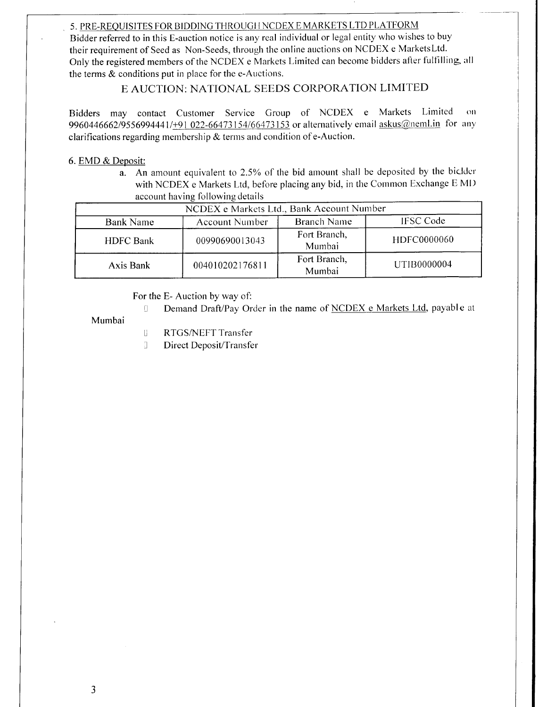# 5. PRE-REQUISITES FOR BIDDING THROUGH NCDEX E MARKETS LTD PLATFORM

Bidder referred to in this E-auction notice is any real individual or legal entity who wishes to buy their requirement of Seed as Non-Seeds, through the online auctions on NCDEX e MarketsLtd. Only the registered members of the NCDEX e Markets Limited can become bidders after fulfilling, all the terms  $\&$  conditions put in place for the e-Auctions.

E AUCTION: NATIONAL SEEDS CORPORATION LIMITED

Bidders may contact Customer Service Group of NCDEX e Markets Limited  $\Omega$ 9960446662/9556994441/+91 022-66473154/66473153 or alternatively email askus@neml.in for any clarifications regarding membership  $\&$  terms and condition of e-Auction.

# 6. EMD & Deposit:

An amount equivalent to 2.5% of the bid amount shall be deposited by the biclder a. with NCDEX e Markets Ltd, before placing any bid, in the Common Exchange E MD account having following details

| NCDEX e Markets Ltd., Bank Account Number |                       |                        |                  |  |
|-------------------------------------------|-----------------------|------------------------|------------------|--|
| <b>Bank Name</b>                          | <b>Account Number</b> | <b>Branch Name</b>     | <b>IFSC Code</b> |  |
| <b>HDFC Bank</b>                          | 00990690013043        | Fort Branch,<br>Mumbai | HDFC0000060      |  |
| Axis Bank                                 | 004010202176811       | Fort Branch,<br>Mumbai | UTIB0000004      |  |

# For the E-Auction by way of:

 $\begin{bmatrix} 1 \\ 2 \end{bmatrix}$ Demand Draft/Pay Order in the name of NCDEX e Markets Ltd, payable at

Mumbai

- $\begin{bmatrix} 1 \\ 2 \end{bmatrix}$ RTGS/NEFT Transfer
- J. Direct Deposit/Transfer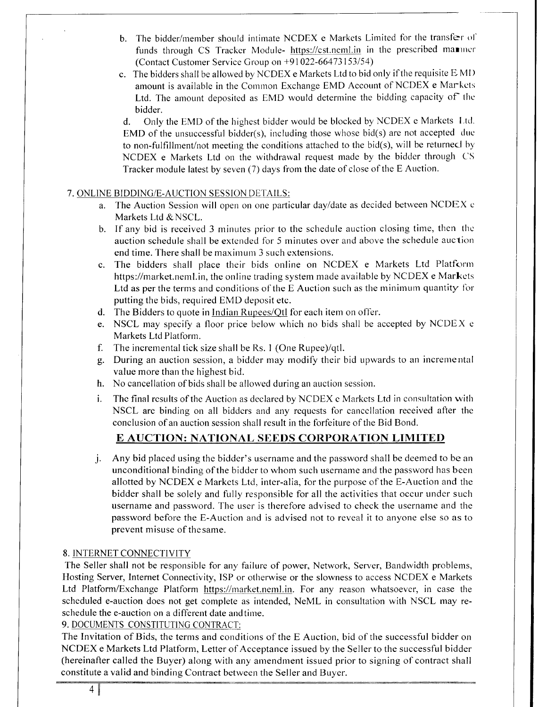- b. The bidder/member should intimate NCDEX e Markets Limited for the transfer of funds through CS Tracker Module- https://cst.neml.in in the prescribed manner (Contact Customer Service Group on +91022-66413153154)
- c. The bidders shall be allowed by NCDEX e Markets Ltd to bid only if the requisite E MI) amount is available in the Common Exchange EMD Account of NCDEX e Markets Ltd. The amount deposited as EMD would determine the bidding capacity of the bidder.

d. Only the EMD of the highest bidder would be blocked by NCDEX e Markets Ltd. EMD of the unsuccessful bidder(s), including those whose bid(s) are not accepted due to non-fulfillurent/not meeting the conditions attached to the bid(s), will be returnecl by NCDEX e Markets Ltd on the withdrawal request made by the bidder through CS Tracker module latest by seven (7) days from the date of close of the E Auction.

# 7. ONLINE BIDDING/E-AUCTION SESSION DETAILS:

- a. The Auction Session will open on one particular dayldate as decided between NCDEX <sup>c</sup> Markets Ltd & NSCL.
- b. If any bid is received 3 minutes prior to the schedule auction closing time, then the auction schedule shall be extended for 5 minutes over and above the schedule auclion end time. There shall be maximum 3 such extensions.
- c. The bidders shall place their bids online on NCDEX e Markets Ltd Platfornr https://market.neml.in, the online trading system made available by NCDEX e Markets Ltd as per the terms and conditions of the E Auction such as the minimum quantity for putting the bids, required EMD deposit etc.
- d. The Bidders to quote in Indian Rupees/Qtl for each item on offer.
- e. NSCL may specify a floor price below which no bids shall be accepted by NCDEX <sup>e</sup> Markets Ltd Platform.
- f. The incremental tick size shall be Rs. 1 (One Rupee)/qtl.
- g. During an auction session, a bidder may rnodify their bid upwards to an incremental value more than the highest bid.
- h. No cancellation of bids shall be allowed during an auction session.
- The final results of the Auction as declared by NCDEX c Markets Ltd in consultation with NSCL are binding on all biddcrs and any rcqucsts for canccllation received after the conclusion of an auction session shall result in the forfeiture of the Bid Bond.

# E AUCTION: NATIONAL SEEDS CORPORATION LIMITED

Any bid placed using the bidder's username and the password shall be deemed to be an j unconditional binding of the biddcr to whom such usernanre and the password has beerr allotted by NCDEX e Markets Ltd, inter-alia, for the purpose of the E-Auction and the bidder shall be solely and fully responsible for all the activities that occur under such username and password. The user is therefore advised to check the username and the password before the E-Auction and is advised not to reveal it to anyone else so as to prevent misuse of thesame.

# 8. INTERNET CONNECTIVITY

The Seller shall not be responsible for any failure of power, Network, Server, Bandwidth problems, Hosting Server, Internet Connectivity, ISP or otherwise or the slowness to access NCDEX e Markets Ltd Platform/Exchange Platform https://market.neml.in. For any reason whatsoever, in case the scheduled e-auction does not get complete as intended, NeML in consultation with NSCL may reschedule the e-auction on a different date and time.

## 9. DOCUMENTS CONSTITUTING CONTRACT:

The Invitation of Bids, the terms and conditions of the E Auction, bid of the successful bidder on NCDEX e Markets Ltd Platform, Letter of Acceptance issued by the Seller to the successful bidder (hereinafter called the Buyer) along with any amendment issued prior to signing of contract shall constitute a valid and binding Contract between the Seller and Buyer.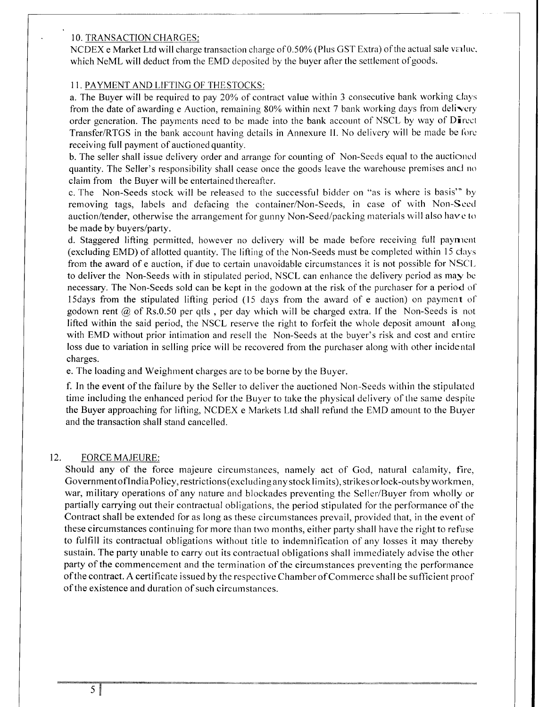### <sup>1</sup>O. TRANSACTION CHARGES:

NCDEX e Market Ltd will charge transaction charge of 0.50% (Plus GST Extra) of the actual sale value, which NeML will deduct from the EMD deposited by the buyer after the settlement of goods.

# I 1. PAYMENT AND LIFTING OF THESTOCKS:

a. The Buyer will be required to pay 20% of contract value within 3 consecutive bank working clays from the date of awarding e Auction, remaining  $80\%$  within next 7 bank working days from delivery order generation. The payments need to be made into the bank account of NSCL by way of Direct Transfer/RTGS in the bank account having details in Annexure II. No delivery will be made be fore receiving full payment of auctioned quantity.

b. The seller shall issue delivery order and arrange for counting of Non-Seeds equal to the auctioned quantity. The Seller's responsibility shall cease once the goods leave the warehouse premises and no claim from the Buyer will be entertained thereafter.

c. The Non-Seeds stock will be released to the successful bidder on "as is where is basis'" by removing tags, labels and defacing the container/Non-Seeds, in case of with Non-Scccl auction/tender, otherwise the arrangement for gunny Non-Seed/packing materials will also have to be made by buyers/party.

d. Staggered lifting permitted, however no delivery will be made before receiving full payment (excluding EMD) of allotted quantity. The lifting of the Non-Seeds must be completed within 15 clays from the award of e auction, if due to certain unavoidable circumstances it is not possible for NSCL to deliver the Non-Seeds with in stipulated period, NSCL can enhance the delivery period as may bc necessary. The Non-Seeds sold can be kept in the godown at the risk of the purchaser for a period ol' l5days from the stipulated lifting period (15 days from the award of e auction) on payment olgodown rent  $\omega$  of Rs.0.50 per qtls, per day which will be charged extra. If the Non-Seeds is not lifted within the said period, the NSCL reserve the right to forfeit the whole deposit amount along with EMD without prior intimation and resell the Non-Seeds at the buyer's risk and cost and entire loss due to variation in selling price will be recovered from the purchaser along with other incidental charges.

e. The loading and Weighment charges are to be borne by the Buyer.

f. In the event of the failure by the Seller to deliver the auctioned Non-Seeds witliin the stipulatecl time including the enhanced period for the Buyer to take the physical delivery of the same despite the Buyer approaching for lifting, NCDEX e Markets Ltd shall refund the EMD amount to the Buyer and the transaction shall stand cancelled.

#### 12. FORCE MAJEURE:

Should any of the force majeure circumstances, namely act of God, natural calamity, fire, Government of India Policy, restrictions (excluding any stock limits), strikes or lock-outs by workmen, war, military operations of any nature and blockades preventing the Seller/Buyer from wholly or partially carrying out their contractual obligations, the period stipulated for the performance of the Contract shall be extended for as long as these circumstances prevail, provided that, in the event of these circumstances continuing for more than two months, either party shall have the right to refuse to fulfill its contractual obligations without title to indemnification of any losses it may thereby sustain. The party unable to carry out its contractual obligations shall immediately advise the other party of the commencement and the termination of the circumstances preventing the performance ofthe contract. A certificate issued by the respective Chamber of Commerce shall be sufficient proof of the existence and duration of such circumstances.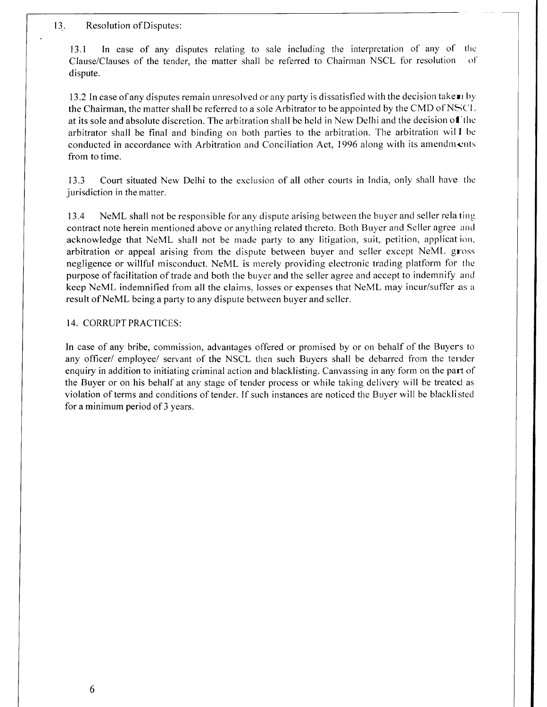#### 13. Resolution of Disputes:

13.1 In case of any disputes relating to sale including the interpretation of any of the Clause/Clauses of the tender. the matter shall be referred to Chairrnan NSCL for resolution ol' dispute.

13.2 In case of any disputes remain unresolved or any party is dissatisfied with the decision take  $\mathbf{r}$  by the Chairman, the matter shall be referred to a sole Arbitrator to be appointed by the CMD of NSC'1. at its sole and absolute discretion. The arbitration shall be held in New Delhi and the decision of the arbitrator shall be final and binding on both parties to the arbitration. The arbitration will be conducted in accordance with Arbitration and Conciliation Act, 1996 along with its amendments from to time.

13.3 Court situated New Delhi to the exclusion of all other courts in India, only shall have the jurisdiction in the matter.

13.4 NeML shall not be responsible for any dispute arising between the buyer and seller relating contract note herein mentioned above or anything related thereto. Both Buyer and Seller agree and acknowledge that NeML shall not be made party to any litigation, suit, petition, applicat ion, arbitration or appeal arising from the dispute between buyer and seller except NeML gross negligence or willful misconduct. NeML is merely providing electronic trading platform for the purpose of facilitation of trade and both the buyer and the seller agree and accept to indemnify and keep NeML indemnified from all the claims, losses or expenses that NeML may incur/suffer as <sup>a</sup> result of NeML being a party to any dispute between buyer and seller.

#### 14. CORRUPT PRACTICES:

In case of any bribe, commission, advantages offered or promised by or on behalf of the Buyers to any officer/ employee/ servant of the NSCL then such Buyers shall be debarred from the tender enquiry in addition to initiating criminal action and blacklisting. Canvassing in any form on the part of the Buyer or on his behalf at any stage of tender process or while taking delivery will be treated as violation of terms and conditions of tender. If such instances are noticed the Buyer will be blacklisted for a minimum period of 3 years.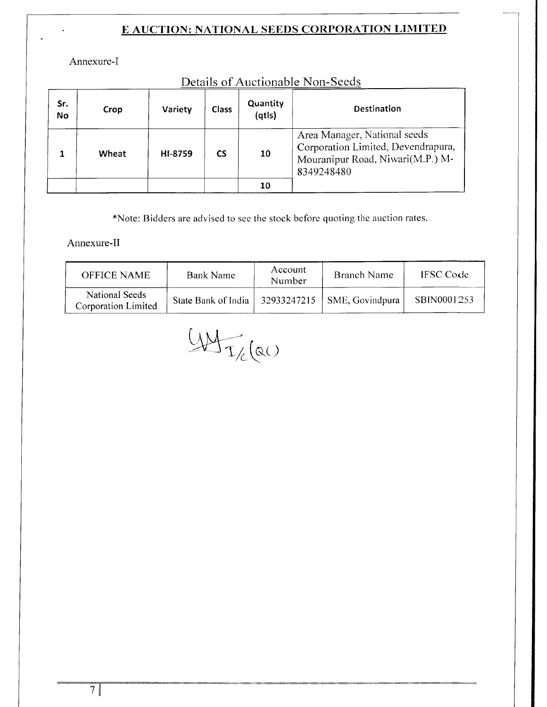Corporation Limited, Devendrapura, Mouranipur Road, Niwari(M.P.) M-

8349248480

Annexure-I

Sr. **No** 

 $\mathbf{1}$ 

|      |         |       |                    | Details of Auctionable Non-Seeds |
|------|---------|-------|--------------------|----------------------------------|
| Crop | Variety | Class | Quantity<br>(atls) | <b>Destination</b>               |
|      |         |       |                    | Area Manager, National seeds     |

10

10

Hl-8759

 $\mathsf{CS}$ 

# f Auctionable Non-Seeds

\*Note: Bidders are advised to see the stock before quoting the auction rates.

Annexure-II

Wheat

| <b>OFFICE NAME</b>                    | <b>Bank Name</b>    | Account<br>Number | Branch Name                   | <b>IFSC</b> Code |
|---------------------------------------|---------------------|-------------------|-------------------------------|------------------|
| National Seeds<br>Corporation Limited | State Bank of India |                   | $32933247215$ SME, Govindpura | SBIN0001253      |

 $44\frac{1}{2}$  (ac)